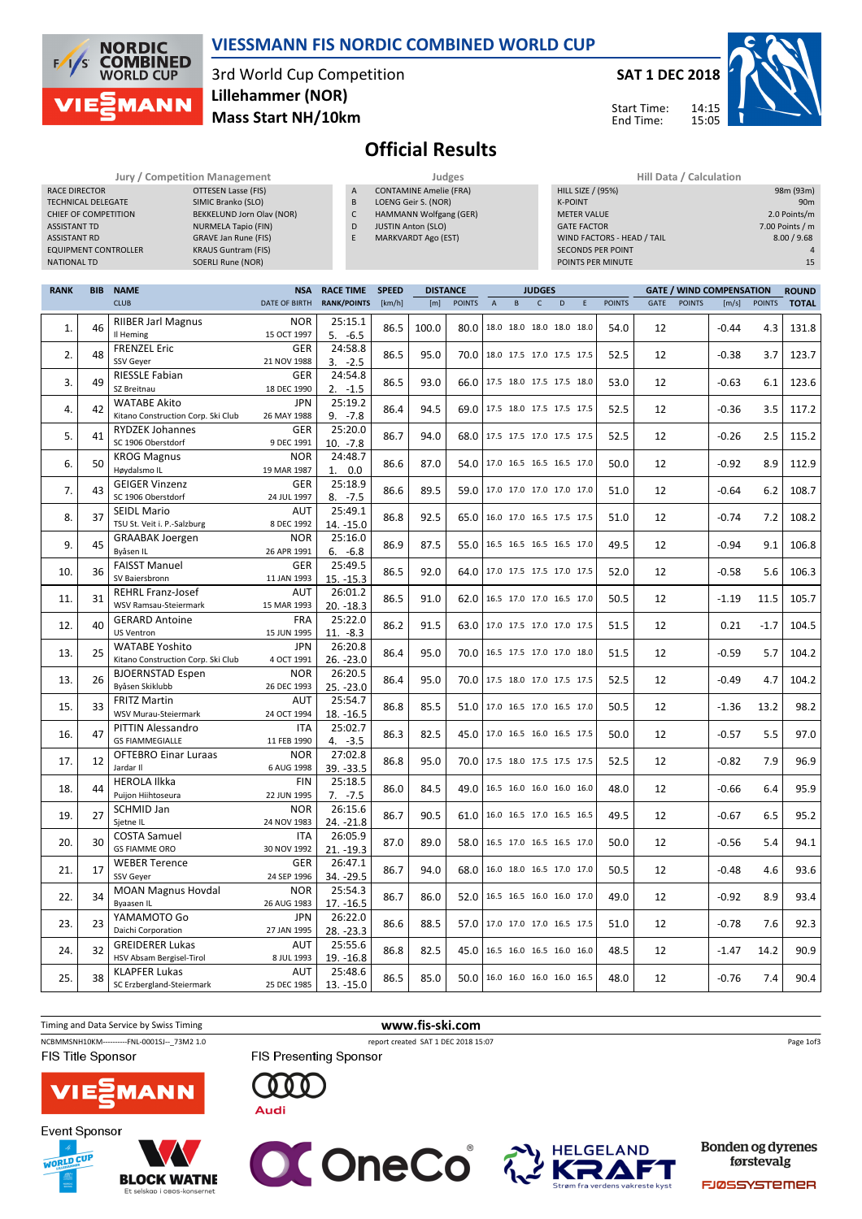

#### VIESSMANN FIS NORDIC COMBINED WORLD CUP

3rd World Cup Competition Mass Start NH/10km Lillehammer (NOR)



14:15 15:05

Start Time: End Time:



98m (93m)

# Official Results

|                      |                             | <b>Jury / Competition Management</b> |              | Judges                        | Hill Data / Calculation    |                 |  |  |  |
|----------------------|-----------------------------|--------------------------------------|--------------|-------------------------------|----------------------------|-----------------|--|--|--|
| <b>RACE DIRECTOR</b> |                             | OTTESEN Lasse (FIS)                  | $\mathsf{A}$ | <b>CONTAMINE Amelie (FRA)</b> | HILL SIZE / (95%)          | 98m (93m)       |  |  |  |
|                      | <b>TECHNICAL DELEGATE</b>   | SIMIC Branko (SLO)                   | B            | LOENG Geir S. (NOR)           | <b>K-POINT</b>             | 90 <sub>m</sub> |  |  |  |
|                      | CHIEF OF COMPETITION        | BEKKELUND Jorn Olav (NOR)            | ╰            | HAMMANN Wolfgang (GER)        | <b>METER VALUE</b>         | 2.0 Points/m    |  |  |  |
| <b>ASSISTANT TD</b>  |                             | NURMELA Tapio (FIN)                  | D            | <b>JUSTIN Anton (SLO)</b>     | <b>GATE FACTOR</b>         | 7.00 Points / m |  |  |  |
| ASSISTANT RD         |                             | <b>GRAVE Jan Rune (FIS)</b>          |              | <b>MARKVARDT Ago (EST)</b>    | WIND FACTORS - HEAD / TAIL | 8.00 / 9.68     |  |  |  |
|                      | <b>EQUIPMENT CONTROLLER</b> | <b>KRAUS Guntram (FIS)</b>           |              |                               | <b>SECONDS PER POINT</b>   |                 |  |  |  |
| <b>NATIONAL TD</b>   |                             | SOERLI Rune (NOR)                    |              |                               | POINTS PER MINUTE          | 15              |  |  |  |

| <b>RANK</b> | <b>BIB</b> | <b>NAME</b><br><b>RACE TIME</b><br><b>SPEED</b><br><b>NSA</b> |                           |                        | <b>DISTANCE</b> | <b>JUDGES</b> |                                 |                |              |              |                          | <b>GATE / WIND COMPENSATION</b><br><b>ROUND</b> |               |             |               |         |               |              |
|-------------|------------|---------------------------------------------------------------|---------------------------|------------------------|-----------------|---------------|---------------------------------|----------------|--------------|--------------|--------------------------|-------------------------------------------------|---------------|-------------|---------------|---------|---------------|--------------|
|             |            | <b>CLUB</b>                                                   | DATE OF BIRTH             | <b>RANK/POINTS</b>     | [km/h]          | [m]           | <b>POINTS</b>                   | $\overline{A}$ | $\, {\sf B}$ | $\mathsf{C}$ | D                        | E                                               | <b>POINTS</b> | <b>GATE</b> | <b>POINTS</b> | [m/s]   | <b>POINTS</b> | <b>TOTAL</b> |
| 1.          | 46         | <b>RIIBER Jarl Magnus</b><br>Il Heming                        | <b>NOR</b><br>15 OCT 1997 | 25:15.1<br>$5. -6.5$   | 86.5            | 100.0         | 80.0                            |                |              |              | 18.0 18.0 18.0 18.0 18.0 |                                                 | 54.0          | 12          |               | $-0.44$ | 4.3           | 131.8        |
| 2.          | 48         | <b>FRENZEL Eric</b><br><b>SSV Gever</b>                       | GER<br>21 NOV 1988        | 24:58.8<br>$3. -2.5$   | 86.5            | 95.0          | 70.0 18.0 17.5 17.0 17.5 17.5   |                |              |              |                          |                                                 | 52.5          | 12          |               | $-0.38$ | 3.7           | 123.7        |
| 3.          | 49         | <b>RIESSLE Fabian</b><br>SZ Breitnau                          | <b>GER</b><br>18 DEC 1990 | 24:54.8<br>$2. -1.5$   | 86.5            | 93.0          | 66.0                            |                |              |              | 17.5 18.0 17.5 17.5 18.0 |                                                 | 53.0          | 12          |               | $-0.63$ | 6.1           | 123.6        |
| 4.          | 42         | <b>WATABE Akito</b><br>Kitano Construction Corp. Ski Club     | <b>JPN</b><br>26 MAY 1988 | 25:19.2<br>$9. -7.8$   | 86.4            | 94.5          | 69.0 17.5 18.0 17.5 17.5 17.5   |                |              |              |                          |                                                 | 52.5          | 12          |               | $-0.36$ | 3.5           | 117.2        |
| 5.          | 41         | <b>RYDZEK Johannes</b><br>SC 1906 Oberstdorf                  | <b>GER</b><br>9 DEC 1991  | 25:20.0<br>$10. -7.8$  | 86.7            | 94.0          | 68.0                            |                |              |              | 17.5 17.5 17.0 17.5 17.5 |                                                 | 52.5          | 12          |               | $-0.26$ | 2.5           | 115.2        |
| 6.          | 50         | <b>KROG Magnus</b><br>Høydalsmo IL                            | <b>NOR</b><br>19 MAR 1987 | 24:48.7<br>1. 0.0      | 86.6            | 87.0          | 54.0                            |                |              |              | 17.0 16.5 16.5 16.5 17.0 |                                                 | 50.0          | 12          |               | $-0.92$ | 8.9           | 112.9        |
| 7.          | 43         | <b>GEIGER Vinzenz</b><br>SC 1906 Oberstdorf                   | GER<br>24 JUL 1997        | 25:18.9<br>$8. -7.5$   | 86.6            | 89.5          | 59.0                            |                |              |              | 17.0 17.0 17.0 17.0 17.0 |                                                 | 51.0          | 12          |               | $-0.64$ | 6.2           | 108.7        |
| 8.          | 37         | <b>SEIDL Mario</b><br>TSU St. Veit i. P.-Salzburg             | AUT<br>8 DEC 1992         | 25:49.1<br>14. - 15.0  | 86.8            | 92.5          | 65.0                            |                |              |              | 16.0 17.0 16.5 17.5 17.5 |                                                 | 51.0          | 12          |               | $-0.74$ | 7.2           | 108.2        |
| 9.          | 45         | <b>GRAABAK Joergen</b><br>Byåsen IL                           | <b>NOR</b><br>26 APR 1991 | 25:16.0<br>$6. -6.8$   | 86.9            | 87.5          | 55.0 16.5 16.5 16.5 16.5 17.0   |                |              |              |                          |                                                 | 49.5          | 12          |               | $-0.94$ | 9.1           | 106.8        |
| 10.         | 36         | <b>FAISST Manuel</b><br>SV Baiersbronn                        | <b>GER</b><br>11 JAN 1993 | 25:49.5<br>$15. -15.3$ | 86.5            | 92.0          | 64.0 17.0 17.5 17.5 17.0 17.5   |                |              |              |                          |                                                 | 52.0          | 12          |               | $-0.58$ | 5.6           | 106.3        |
| 11.         | 31         | <b>REHRL Franz-Josef</b><br>WSV Ramsau-Steiermark             | AUT<br>15 MAR 1993        | 26:01.2<br>20. -18.3   | 86.5            | 91.0          | 62.0   16.5 17.0 17.0 16.5 17.0 |                |              |              |                          |                                                 | 50.5          | 12          |               | $-1.19$ | 11.5          | 105.7        |
| 12.         | 40         | <b>GERARD Antoine</b><br><b>US Ventron</b>                    | <b>FRA</b><br>15 JUN 1995 | 25:22.0<br>$11. -8.3$  | 86.2            | 91.5          | 63.0                            |                |              |              | 17.0 17.5 17.0 17.0 17.5 |                                                 | 51.5          | 12          |               | 0.21    | $-1.7$        | 104.5        |
| 13.         | 25         | <b>WATABE Yoshito</b><br>Kitano Construction Corp. Ski Club   | <b>JPN</b><br>4 OCT 1991  | 26:20.8<br>26. - 23.0  | 86.4            | 95.0          | 70.0                            |                |              |              | 16.5 17.5 17.0 17.0 18.0 |                                                 | 51.5          | 12          |               | $-0.59$ | 5.7           | 104.2        |
| 13.         | 26         | <b>BJOERNSTAD Espen</b><br>Byåsen Skiklubb                    | <b>NOR</b><br>26 DEC 1993 | 26:20.5<br>25. - 23.0  | 86.4            | 95.0          | 70.0   17.5 18.0 17.0 17.5 17.5 |                |              |              |                          |                                                 | 52.5          | 12          |               | $-0.49$ | 4.7           | 104.2        |
| 15.         | 33         | <b>FRITZ Martin</b><br>WSV Murau-Steiermark                   | AUT<br>24 OCT 1994        | 25:54.7<br>18. - 16.5  | 86.8            | 85.5          | 51.0 17.0 16.5 17.0 16.5 17.0   |                |              |              |                          |                                                 | 50.5          | 12          |               | $-1.36$ | 13.2          | 98.2         |
| 16.         | 47         | <b>PITTIN Alessandro</b><br><b>GS FIAMMEGIALLE</b>            | <b>ITA</b><br>11 FEB 1990 | 25:02.7<br>$4. -3.5$   | 86.3            | 82.5          | 45.0 17.0 16.5 16.0 16.5 17.5   |                |              |              |                          |                                                 | 50.0          | 12          |               | $-0.57$ | 5.5           | 97.0         |
| 17.         | 12         | <b>OFTEBRO Einar Luraas</b><br>Jardar II                      | <b>NOR</b><br>6 AUG 1998  | 27:02.8<br>39. - 33.5  | 86.8            | 95.0          | 70.0 17.5 18.0 17.5 17.5 17.5   |                |              |              |                          |                                                 | 52.5          | 12          |               | $-0.82$ | 7.9           | 96.9         |
| 18.         | 44         | <b>HEROLA Ilkka</b><br>Puijon Hiihtoseura                     | <b>FIN</b><br>22 JUN 1995 | 25:18.5<br>$7. -7.5$   | 86.0            | 84.5          | 49.0                            |                |              |              | 16.5 16.0 16.0 16.0 16.0 |                                                 | 48.0          | 12          |               | $-0.66$ | 6.4           | 95.9         |
| 19.         | 27         | SCHMID Jan<br>Sjetne IL                                       | <b>NOR</b><br>24 NOV 1983 | 26:15.6<br>24. - 21.8  | 86.7            | 90.5          | 61.0                            |                |              |              | 16.0 16.5 17.0 16.5 16.5 |                                                 | 49.5          | 12          |               | $-0.67$ | 6.5           | 95.2         |
| 20.         | 30         | <b>COSTA Samuel</b><br><b>GS FIAMME ORO</b>                   | <b>ITA</b><br>30 NOV 1992 | 26:05.9<br>$21. -19.3$ | 87.0            | 89.0          | 58.0                            |                |              |              | 16.5 17.0 16.5 16.5 17.0 |                                                 | 50.0          | 12          |               | $-0.56$ | 5.4           | 94.1         |
| 21.         | 17         | <b>WEBER Terence</b><br><b>SSV Gever</b>                      | <b>GER</b><br>24 SEP 1996 | 26:47.1<br>34. - 29.5  | 86.7            | 94.0          | 68.0                            |                |              |              | 16.0 18.0 16.5 17.0 17.0 |                                                 | 50.5          | 12          |               | $-0.48$ | 4.6           | 93.6         |
| 22.         | 34         | <b>MOAN Magnus Hovdal</b><br><b>Byaasen IL</b>                | <b>NOR</b><br>26 AUG 1983 | 25:54.3<br>$17. -16.5$ | 86.7            | 86.0          | 52.0                            |                |              |              | 16.5 16.5 16.0 16.0 17.0 |                                                 | 49.0          | 12          |               | $-0.92$ | 8.9           | 93.4         |
| 23.         | 23         | YAMAMOTO Go<br>Daichi Corporation                             | <b>JPN</b><br>27 JAN 1995 | 26:22.0<br>28. - 23.3  | 86.6            | 88.5          | 57.0 17.0 17.0 17.0 16.5 17.5   |                |              |              |                          |                                                 | 51.0          | 12          |               | $-0.78$ | 7.6           | 92.3         |
| 24.         | 32         | <b>GREIDERER Lukas</b><br>HSV Absam Bergisel-Tirol            | AUT<br>8 JUL 1993         | 25:55.6<br>19. - 16.8  | 86.8            | 82.5          | 45.0                            |                |              |              | 16.5 16.0 16.5 16.0 16.0 |                                                 | 48.5          | 12          |               | $-1.47$ | 14.2          | 90.9         |
| 25.         | 38         | <b>KLAPFER Lukas</b><br>SC Erzbergland-Steiermark             | AUT<br>25 DEC 1985        | 25:48.6<br>13. - 15.0  | 86.5            | 85.0          | 50.0 16.0 16.0 16.0 16.0 16.5   |                |              |              |                          |                                                 | 48.0          | 12          |               | $-0.76$ | 7.4           | 90.4         |
|             |            |                                                               |                           |                        |                 |               |                                 |                |              |              |                          |                                                 |               |             |               |         |               |              |

Timing and Data Service by Swiss Timing WWW.fis-ski.com NCBMMSNH10KM-----------FNL-0001SJ--\_73M2 1.0 report created SAT 1 DEC 2018 15:07 Page 1of3FIS Title Sponsor FIS Presenting Sponsor 000 **VIE MANN** 









Bonden og dyrenes førstevalg

FJØSSYSTEMER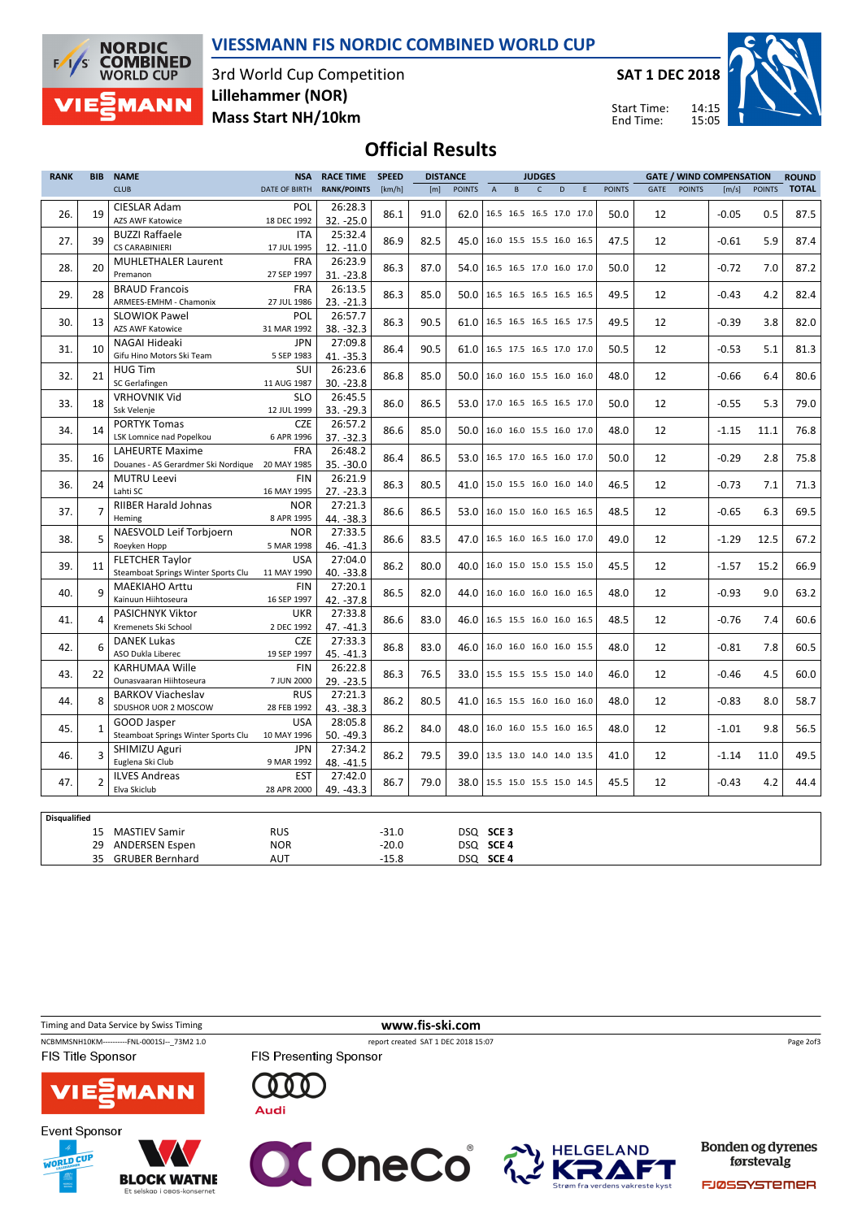

#### VIESSMANN FIS NORDIC COMBINED WORLD CUP

3rd World Cup Competition Mass Start NH/10km Lillehammer (NOR)

SAT 1 DEC 2018



Start Time: End Time:

## Official Results

| <b>RANK</b>         | <b>BIB</b>     | <b>NAME</b>                                                           | <b>NSA</b>                | <b>RACE TIME</b>       | <b>SPEED</b>       |      | <b>DISTANCE</b>                 |                | <b>JUDGES</b>            |              |   |   | <b>GATE / WIND COMPENSATION</b> |      |               | <b>ROUND</b> |               |              |
|---------------------|----------------|-----------------------------------------------------------------------|---------------------------|------------------------|--------------------|------|---------------------------------|----------------|--------------------------|--------------|---|---|---------------------------------|------|---------------|--------------|---------------|--------------|
|                     |                | <b>CLUB</b>                                                           | DATE OF BIRTH             | <b>RANK/POINTS</b>     | [km/h]             | [m]  | <b>POINTS</b>                   | $\overline{A}$ | $\, {\bf B} \,$          | $\mathsf{C}$ | D | E | <b>POINTS</b>                   | GATE | <b>POINTS</b> | [m/s]        | <b>POINTS</b> | <b>TOTAL</b> |
| 26.                 | 19             | CIESLAR Adam<br><b>AZS AWF Katowice</b>                               | POL<br>18 DEC 1992        | 26:28.3<br>32. - 25.0  | 86.1               | 91.0 | 62.0                            |                | 16.5 16.5 16.5 17.0 17.0 |              |   |   | 50.0                            | 12   |               | $-0.05$      | 0.5           | 87.5         |
| 27.                 | 39             | <b>BUZZI Raffaele</b><br>CS CARABINIERI                               | <b>ITA</b><br>17 JUL 1995 | 25:32.4<br>$12. -11.0$ | 86.9               | 82.5 | 45.0 16.0 15.5 15.5 16.0 16.5   |                |                          |              |   |   | 47.5                            | 12   |               | $-0.61$      | 5.9           | 87.4         |
| 28.                 | 20             | <b>MUHLETHALER Laurent</b><br>Premanon                                | <b>FRA</b><br>27 SEP 1997 | 26:23.9<br>$31. -23.8$ | 86.3               | 87.0 | 54.0                            |                | 16.5 16.5 17.0 16.0 17.0 |              |   |   | 50.0                            | 12   |               | $-0.72$      | 7.0           | 87.2         |
| 29.                 | 28             | <b>BRAUD Francois</b><br>ARMEES-EMHM - Chamonix                       | <b>FRA</b>                | 26:13.5                | 86.3               | 85.0 | 50.0   16.5 16.5 16.5 16.5 16.5 |                |                          |              |   |   | 49.5                            | 12   |               | $-0.43$      | 4.2           | 82.4         |
| 30.                 | 13             | <b>SLOWIOK Pawel</b>                                                  | 27 JUL 1986<br>POL        | 23. -21.3<br>26:57.7   | 86.3               | 90.5 | 61.0                            |                | 16.5 16.5 16.5 16.5 17.5 |              |   |   | 49.5                            | 12   |               | $-0.39$      | 3.8           | 82.0         |
| 31.                 | 10             | <b>AZS AWF Katowice</b><br>NAGAI Hideaki                              | 31 MAR 1992<br><b>JPN</b> | 38. - 32.3<br>27:09.8  | 86.4               | 90.5 | 61.0                            |                | 16.5 17.5 16.5 17.0 17.0 |              |   |   | 50.5                            | 12   |               | $-0.53$      | 5.1           | 81.3         |
| 32.                 | 21             | Gifu Hino Motors Ski Team<br><b>HUG Tim</b>                           | 5 SEP 1983<br>SUI         | 41. -35.3<br>26:23.6   | 86.8               | 85.0 | 50.0                            |                | 16.0 16.0 15.5 16.0 16.0 |              |   |   | 48.0                            | 12   |               | $-0.66$      | 6.4           | 80.6         |
| 33.                 | 18             | SC Gerlafingen<br><b>VRHOVNIK Vid</b>                                 | 11 AUG 1987<br><b>SLO</b> | 30. - 23.8<br>26:45.5  | 86.0               | 86.5 | 53.0   17.0 16.5 16.5 16.5 17.0 |                |                          |              |   |   | 50.0                            | 12   |               | $-0.55$      | 5.3           | 79.0         |
| 34.                 | 14             | Ssk Velenje<br><b>PORTYK Tomas</b>                                    | 12 JUL 1999<br><b>CZE</b> | 33. - 29.3<br>26:57.2  | 86.6               | 85.0 | 50.0                            |                | 16.0 16.0 15.5 16.0 17.0 |              |   |   | 48.0                            | 12   |               | $-1.15$      | 11.1          | 76.8         |
| 35.                 | 16             | LSK Lomnice nad Popelkou<br><b>LAHEURTE Maxime</b>                    | 6 APR 1996<br><b>FRA</b>  | 37. - 32.3<br>26:48.2  | 86.4               | 86.5 | 53.0 16.5 17.0 16.5 16.0 17.0   |                |                          |              |   |   | 50.0                            | 12   |               | $-0.29$      | 2.8           | 75.8         |
| 36.                 | 24             | Douanes - AS Gerardmer Ski Nordique 20 MAY 1985<br><b>MUTRU Leevi</b> | <b>FIN</b>                | 35. - 30.0<br>26:21.9  | 86.3               | 80.5 | 41.0                            |                | 15.0 15.5 16.0 16.0 14.0 |              |   |   | 46.5                            | 12   |               | $-0.73$      | 7.1           | 71.3         |
| 37.                 | 7              | Lahti SC<br><b>RIIBER Harald Johnas</b>                               | 16 MAY 1995<br><b>NOR</b> | 27. - 23.3<br>27:21.3  | 86.6               | 86.5 | 53.0                            |                | 16.0 15.0 16.0 16.5 16.5 |              |   |   | 48.5                            | 12   |               | $-0.65$      | 6.3           | 69.5         |
|                     |                | Heming<br>NAESVOLD Leif Torbjoern                                     | 8 APR 1995<br><b>NOR</b>  | 44. - 38.3<br>27:33.5  |                    |      |                                 |                |                          |              |   |   |                                 |      |               |              |               |              |
| 38.                 | 5              | Roeyken Hopp<br><b>FLETCHER Taylor</b>                                | 5 MAR 1998<br><b>USA</b>  | 46. - 41.3<br>27:04.0  | 86.6               | 83.5 | 47.0                            |                | 16.5 16.0 16.5 16.0 17.0 |              |   |   | 49.0                            | 12   |               | $-1.29$      | 12.5          | 67.2         |
| 39.                 | 11             | Steamboat Springs Winter Sports Clu<br><b>MAEKIAHO Arttu</b>          | 11 MAY 1990<br><b>FIN</b> | 40. -33.8<br>27:20.1   | 86.2               | 80.0 | 40.0                            |                | 16.0 15.0 15.0 15.5 15.0 |              |   |   | 45.5                            | 12   |               | $-1.57$      | 15.2          | 66.9         |
| 40.                 | 9              | Kainuun Hiihtoseura                                                   | 16 SEP 1997               | 42. - 37.8             | 86.5               | 82.0 | 44.0                            |                | 16.0 16.0 16.0 16.0 16.5 |              |   |   | 48.0                            | 12   |               | $-0.93$      | 9.0           | 63.2         |
| 41.                 | 4              | PASICHNYK Viktor<br>Kremenets Ski School                              | <b>UKR</b><br>2 DEC 1992  | 27:33.8<br>47. -41.3   | 86.6               | 83.0 | 46.0                            |                | 16.5 15.5 16.0 16.0 16.5 |              |   |   | 48.5                            | 12   |               | $-0.76$      | 7.4           | 60.6         |
| 42.                 | 6              | <b>DANEK Lukas</b><br>ASO Dukla Liberec                               | <b>CZE</b><br>19 SEP 1997 | 27:33.3<br>45. - 41.3  | 86.8               | 83.0 | 46.0                            |                | 16.0 16.0 16.0 16.0 15.5 |              |   |   | 48.0                            | 12   |               | $-0.81$      | 7.8           | 60.5         |
| 43.                 | 22             | <b>KARHUMAA Wille</b><br>Ounasyaaran Hiihtoseura                      | <b>FIN</b><br>7 JUN 2000  | 26:22.8<br>29. - 23.5  | 86.3               | 76.5 | 33.0                            |                | 15.5 15.5 15.5 15.0 14.0 |              |   |   | 46.0                            | 12   |               | $-0.46$      | 4.5           | 60.0         |
| 44.                 | 8              | <b>BARKOV Viacheslav</b><br>SDUSHOR UOR 2 MOSCOW                      | <b>RUS</b><br>28 FEB 1992 | 27:21.3<br>43. - 38.3  | 86.2               | 80.5 | 41.0 16.5 15.5 16.0 16.0 16.0   |                |                          |              |   |   | 48.0                            | 12   |               | $-0.83$      | 8.0           | 58.7         |
| 45.                 | 1              | GOOD Jasper<br>Steamboat Springs Winter Sports Clu                    | <b>USA</b><br>10 MAY 1996 | 28:05.8<br>50. - 49.3  | 86.2               | 84.0 | 48.0                            |                | 16.0 16.0 15.5 16.0 16.5 |              |   |   | 48.0                            | 12   |               | $-1.01$      | 9.8           | 56.5         |
| 46.                 | 3              | SHIMIZU Aguri<br>Euglena Ski Club                                     | <b>JPN</b><br>9 MAR 1992  | 27:34.2<br>48. - 41.5  | 86.2               | 79.5 | 39.0 13.5 13.0 14.0 14.0 13.5   |                |                          |              |   |   | 41.0                            | 12   |               | $-1.14$      | 11.0          | 49.5         |
| 47.                 | $\mathfrak{p}$ | <b>ILVES Andreas</b><br>Elva Skiclub                                  | <b>EST</b><br>28 APR 2000 | 27:42.0<br>49. - 43.3  | 86.7               | 79.0 | 38.0                            |                | 15.5 15.0 15.5 15.0 14.5 |              |   |   | 45.5                            | 12   |               | $-0.43$      | 4.2           | 44.4         |
|                     |                |                                                                       |                           |                        |                    |      |                                 |                |                          |              |   |   |                                 |      |               |              |               |              |
| <b>Disqualified</b> |                |                                                                       |                           |                        |                    |      |                                 |                |                          |              |   |   |                                 |      |               |              |               |              |
|                     | 29             | 15 MASTIEV Samir<br><b>ANDERSEN Espen</b>                             | <b>RUS</b><br><b>NOR</b>  |                        | $-31.0$<br>$-20.0$ |      | DSQ SCE 3<br>DSQ SCE 4          |                |                          |              |   |   |                                 |      |               |              |               |              |
|                     |                | 35 GRUBER Bernhard                                                    | AUT                       |                        | $-15.8$            |      | DSQ SCE 4                       |                |                          |              |   |   |                                 |      |               |              |               |              |